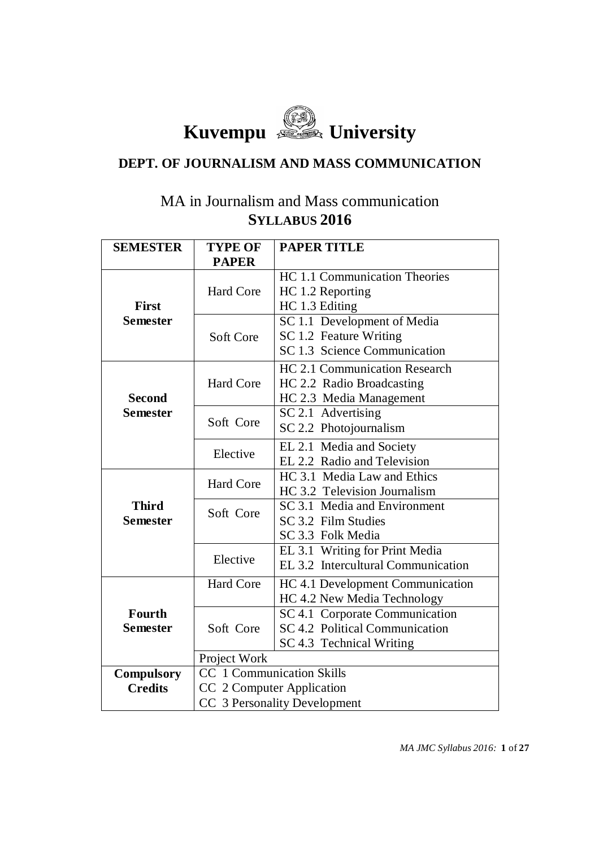

## **DEPT. OF JOURNALISM AND MASS COMMUNICATION**

## MA in Journalism and Mass communication **SYLLABUS 2016**

| <b>SEMESTER</b> | <b>TYPE OF</b>                   | <b>PAPER TITLE</b>                 |
|-----------------|----------------------------------|------------------------------------|
|                 | <b>PAPER</b>                     |                                    |
| <b>First</b>    |                                  | HC 1.1 Communication Theories      |
|                 | <b>Hard Core</b>                 | HC 1.2 Reporting                   |
|                 |                                  | HC 1.3 Editing                     |
| <b>Semester</b> |                                  | SC 1.1 Development of Media        |
|                 | Soft Core                        | SC 1.2 Feature Writing             |
|                 |                                  | SC 1.3 Science Communication       |
|                 |                                  | HC 2.1 Communication Research      |
|                 | <b>Hard Core</b>                 | HC 2.2 Radio Broadcasting          |
| <b>Second</b>   |                                  | HC 2.3 Media Management            |
| <b>Semester</b> | Soft Core                        | SC 2.1 Advertising                 |
|                 |                                  | SC 2.2 Photojournalism             |
|                 | Elective                         | EL 2.1 Media and Society           |
|                 |                                  | EL 2.2 Radio and Television        |
| <b>Third</b>    | <b>Hard Core</b>                 | HC 3.1 Media Law and Ethics        |
|                 |                                  | HC 3.2 Television Journalism       |
|                 | Soft Core                        | SC 3.1 Media and Environment       |
| <b>Semester</b> |                                  | SC 3.2 Film Studies                |
|                 |                                  | SC 3.3 Folk Media                  |
|                 | Elective                         | EL 3.1 Writing for Print Media     |
|                 |                                  | EL 3.2 Intercultural Communication |
|                 | <b>Hard Core</b>                 | HC 4.1 Development Communication   |
| Fourth          |                                  | HC 4.2 New Media Technology        |
|                 |                                  | SC 4.1 Corporate Communication     |
| <b>Semester</b> | Soft Core                        | SC 4.2 Political Communication     |
|                 |                                  | SC 4.3 Technical Writing           |
|                 | Project Work                     |                                    |
| Compulsory      | <b>CC</b> 1 Communication Skills |                                    |
| <b>Credits</b>  | CC 2 Computer Application        |                                    |
|                 | CC 3 Personality Development     |                                    |

*MA JMC Syllabus 2016:* **1** of **27**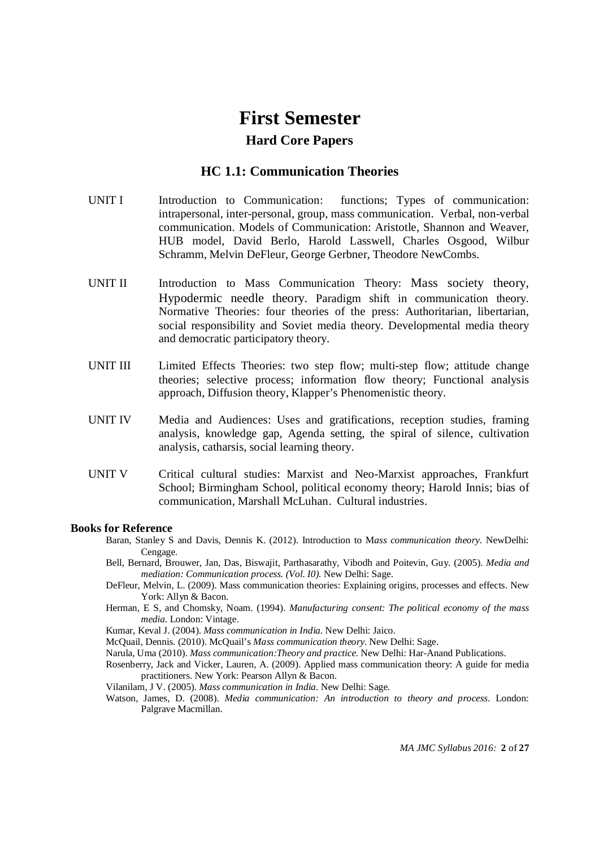# **First Semester Hard Core Papers**

## **HC 1.1: Communication Theories**

- UNIT I Introduction to Communication: functions; Types of communication: intrapersonal, inter-personal, group, mass communication. Verbal, non-verbal communication. Models of Communication: Aristotle, Shannon and Weaver, HUB model, David Berlo, Harold Lasswell, Charles Osgood, Wilbur Schramm, Melvin DeFleur, George Gerbner, Theodore NewCombs.
- UNIT II Introduction to Mass Communication Theory: Mass society theory, Hypodermic needle theory. Paradigm shift in communication theory. Normative Theories: four theories of the press: Authoritarian, libertarian, social responsibility and Soviet media theory. Developmental media theory and democratic participatory theory.
- UNIT III Limited Effects Theories: two step flow; multi-step flow; attitude change theories; selective process; information flow theory; Functional analysis approach, Diffusion theory, Klapper's Phenomenistic theory.
- UNIT IV Media and Audiences: Uses and gratifications, reception studies, framing analysis, knowledge gap, Agenda setting, the spiral of silence, cultivation analysis, catharsis, social learning theory.
- UNIT V Critical cultural studies: Marxist and Neo-Marxist approaches, Frankfurt School; Birmingham School, political economy theory; Harold Innis; bias of communication, Marshall McLuhan. Cultural industries.

#### **Books for Reference**

- Baran, Stanley S and Davis, Dennis K. (2012). Introduction to M*ass communication theory.* NewDelhi: Cengage.
- Bell, Bernard, Brouwer, Jan, Das, Biswajit, Parthasarathy, Vibodh and Poitevin, Guy. (2005). *Media and mediation: Communication process. (Vol. I0).* New Delhi: Sage.
- DeFleur, Melvin, L. (2009). Mass communication theories: Explaining origins, processes and effects. New York: Allyn & Bacon.
- Herman, E S, and Chomsky, Noam. (1994). *Manufacturing consent: The political economy of the mass media.* London: Vintage.
- Kumar, Keval J. (2004). *Mass communication in India.* New Delhi: Jaico.
- McQuail, Dennis. (2010). McQuail's *Mass communication theory.* New Delhi: Sage.
- Narula, Uma (2010). *Mass communication:Theory and practice.* New Delhi: Har-Anand Publications.
- Rosenberry, Jack and Vicker, Lauren, A. (2009). Applied mass communication theory: A guide for media practitioners. New York: Pearson Allyn & Bacon.
- Vilanilam, J V. (2005). *Mass communication in India*. New Delhi: Sage.
- Watson, James, D. (2008). *Media communication: An introduction to theory and process*. London: Palgrave Macmillan.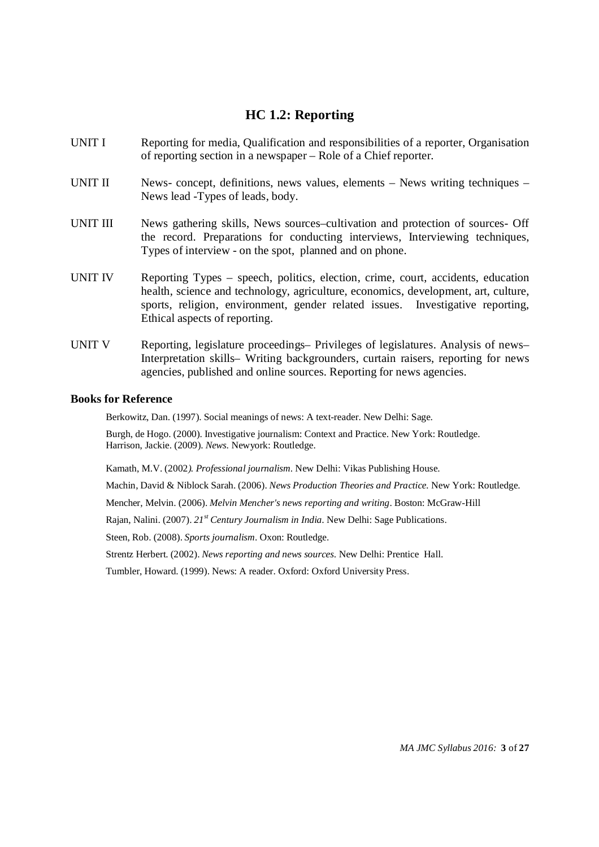## **HC 1.2: Reporting**

- UNIT I Reporting for media, Qualification and responsibilities of a reporter, Organisation of reporting section in a newspaper – Role of a Chief reporter.
- UNIT II News- concept, definitions, news values, elements News writing techniques News lead -Types of leads, body.
- UNIT III News gathering skills, News sources–cultivation and protection of sources- Off the record. Preparations for conducting interviews, Interviewing techniques, Types of interview - on the spot, planned and on phone.
- UNIT IV Reporting Types speech, politics, election, crime, court, accidents, education health, science and technology, agriculture, economics, development, art, culture, sports, religion, environment, gender related issues. Investigative reporting, Ethical aspects of reporting.
- UNIT V Reporting, legislature proceedings– Privileges of legislatures. Analysis of news– Interpretation skills– Writing backgrounders, curtain raisers, reporting for news agencies, published and online sources. Reporting for news agencies.

#### **Books for Reference**

Berkowitz, Dan. (1997). Social meanings of news: A text-reader. New Delhi: Sage.

Burgh, de Hogo. (2000). Investigative journalism: Context and Practice. New York: Routledge. Harrison, Jackie. (2009). *News*. Newyork: Routledge.

Kamath, M.V. (2002*). Professional journalism*. New Delhi: Vikas Publishing House.

Machin, David & Niblock Sarah. (2006). *News Production Theories and Practice.* New York: Routledge.

Mencher, Melvin. (2006). *Melvin Mencher's news reporting and writing*. Boston: McGraw-Hill

Rajan, Nalini. (2007). *21st Century Journalism in India.* New Delhi: Sage Publications.

Steen, Rob. (2008). *Sports journalism*. Oxon: Routledge.

Strentz Herbert. (2002). *News reporting and news sources*. New Delhi: Prentice Hall.

Tumbler, Howard. (1999). News: A reader. Oxford: Oxford University Press.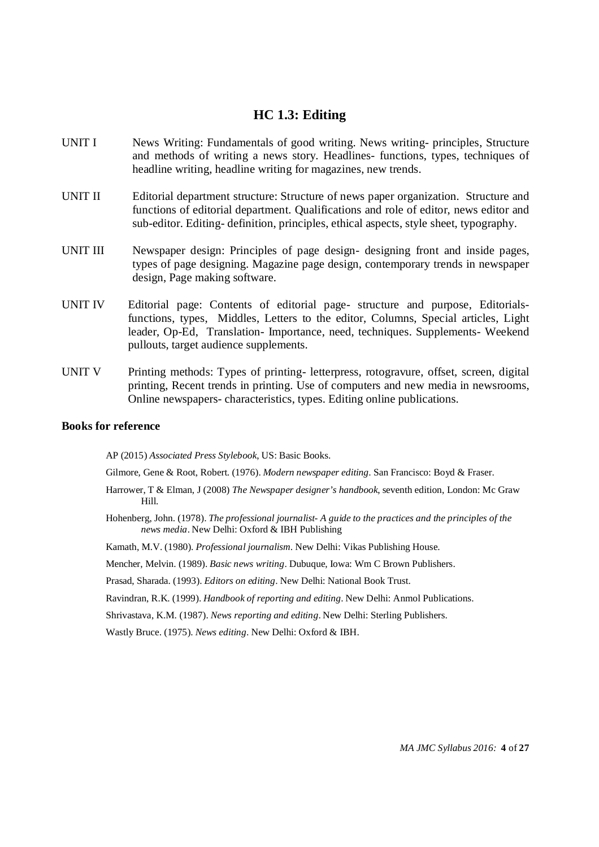#### **HC 1.3: Editing**

- UNIT I News Writing: Fundamentals of good writing. News writing- principles, Structure and methods of writing a news story. Headlines- functions, types, techniques of headline writing, headline writing for magazines, new trends.
- UNIT II Editorial department structure: Structure of news paper organization. Structure and functions of editorial department. Qualifications and role of editor, news editor and sub-editor. Editing- definition, principles, ethical aspects, style sheet, typography.
- UNIT III Newspaper design: Principles of page design- designing front and inside pages, types of page designing. Magazine page design, contemporary trends in newspaper design, Page making software.
- UNIT IV Editorial page: Contents of editorial page- structure and purpose, Editorialsfunctions, types, Middles, Letters to the editor, Columns, Special articles, Light leader, Op-Ed, Translation- Importance, need, techniques. Supplements- Weekend pullouts, target audience supplements.
- UNIT V Printing methods: Types of printing-letterpress, rotogravure, offset, screen, digital printing, Recent trends in printing. Use of computers and new media in newsrooms, Online newspapers- characteristics, types. Editing online publications.

#### **Books for reference**

AP (2015) *Associated Press Stylebook*, US: Basic Books.

Gilmore, Gene & Root, Robert. (1976). *Modern newspaper editing*. San Francisco: Boyd & Fraser.

- Harrower, T & Elman, J (2008) *The Newspaper designer's handbook*, seventh edition, London: Mc Graw Hill.
- Hohenberg, John. (1978). *The professional journalist- A guide to the practices and the principles of the news media*. New Delhi: Oxford & IBH Publishing

Kamath, M.V. (1980). *Professional journalism*. New Delhi: Vikas Publishing House.

- Mencher, Melvin. (1989). *Basic news writing*. Dubuque, Iowa: Wm C Brown Publishers.
- Prasad, Sharada. (1993). *Editors on editing*. New Delhi: National Book Trust.

Ravindran, R.K. (1999). *Handbook of reporting and editing*. New Delhi: Anmol Publications.

Shrivastava, K.M. (1987). *News reporting and editing*. New Delhi: Sterling Publishers.

Wastly Bruce. (1975). *News editing*. New Delhi: Oxford & IBH.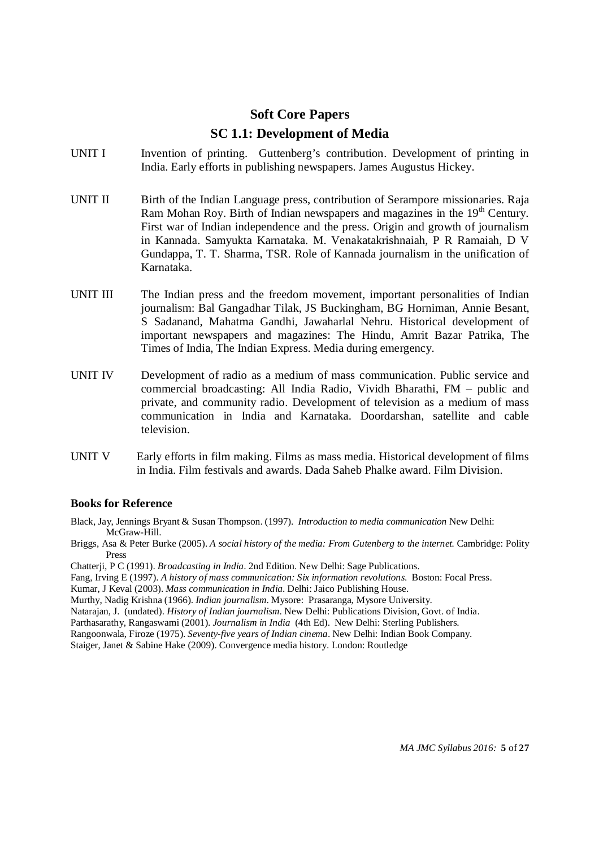## **Soft Core Papers SC 1.1: Development of Media**

- UNIT I Invention of printing. Guttenberg's contribution. Development of printing in India. Early efforts in publishing newspapers. James Augustus Hickey.
- UNIT II Birth of the Indian Language press, contribution of Serampore missionaries. Raja Ram Mohan Roy. Birth of Indian newspapers and magazines in the  $19<sup>th</sup>$  Century. First war of Indian independence and the press. Origin and growth of journalism in Kannada. Samyukta Karnataka. M. Venakatakrishnaiah, P R Ramaiah, D V Gundappa, T. T. Sharma, TSR. Role of Kannada journalism in the unification of Karnataka.
- UNIT III The Indian press and the freedom movement, important personalities of Indian journalism: Bal Gangadhar Tilak, JS Buckingham, BG Horniman, Annie Besant, S Sadanand, Mahatma Gandhi, Jawaharlal Nehru. Historical development of important newspapers and magazines: The Hindu, Amrit Bazar Patrika, The Times of India, The Indian Express. Media during emergency.
- UNIT IV Development of radio as a medium of mass communication. Public service and commercial broadcasting: All India Radio, Vividh Bharathi, FM – public and private, and community radio. Development of television as a medium of mass communication in India and Karnataka. Doordarshan, satellite and cable television.
- UNIT V Early efforts in film making. Films as mass media. Historical development of films in India. Film festivals and awards. Dada Saheb Phalke award. Film Division.

#### **Books for Reference**

Black, Jay, Jennings Bryant & Susan Thompson. (1997). *Introduction to media communication* New Delhi: McGraw-Hill.

Briggs, Asa & Peter Burke (2005). *A social history of the media: From Gutenberg to the internet.* Cambridge: Polity Press

Chatterji, P C (1991). *Broadcasting in India*. 2nd Edition. New Delhi: Sage Publications.

Fang, Irving E (1997). *A history of mass communication: Six information revolutions*. Boston: Focal Press.

Kumar, J Keval (2003). *Mass communication in India*. Delhi: Jaico Publishing House.

Murthy, Nadig Krishna (1966). *Indian journalism*. Mysore: Prasaranga, Mysore University.

Natarajan, J. (undated). *History of Indian journalism*. New Delhi: Publications Division, Govt. of India.

Parthasarathy, Rangaswami (2001). *Journalism in India* (4th Ed). New Delhi: Sterling Publishers.

Rangoonwala, Firoze (1975). *Seventy-five years of Indian cinema*. New Delhi: Indian Book Company.

Staiger, Janet & Sabine Hake (2009). Convergence media history. London: Routledge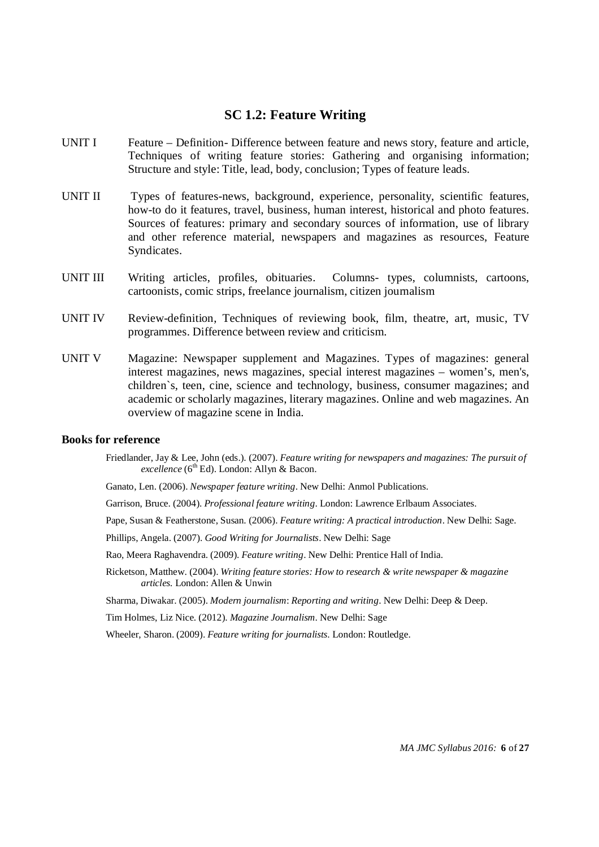### **SC 1.2: Feature Writing**

- UNIT I Feature Definition- Difference between feature and news story, feature and article, Techniques of writing feature stories: Gathering and organising information; Structure and style: Title, lead, body, conclusion; Types of feature leads.
- UNIT II Types of features-news, background, experience, personality, scientific features, how-to do it features, travel, business, human interest, historical and photo features. Sources of features: primary and secondary sources of information, use of library and other reference material, newspapers and magazines as resources, Feature Syndicates.
- UNIT III Writing articles, profiles, obituaries. Columns- types, columnists, cartoons, cartoonists, comic strips, freelance journalism, citizen journalism
- UNIT IV Review-definition, Techniques of reviewing book, film, theatre, art, music, TV programmes. Difference between review and criticism.
- UNIT V Magazine: Newspaper supplement and Magazines. Types of magazines: general interest magazines, news magazines, special interest magazines – women's, men's, children`s, teen, cine, science and technology, business, consumer magazines; and academic or scholarly magazines, literary magazines. Online and web magazines. An overview of magazine scene in India.

## **Books for reference**

- Friedlander, Jay & Lee, John (eds.). (2007). *Feature writing for newspapers and magazines: The pursuit of excellence* (6<sup>th</sup> Ed). London: Allyn & Bacon.
- Ganato, Len. (2006). *Newspaper feature writing*. New Delhi: Anmol Publications.
- Garrison, Bruce. (2004). *Professional feature writing*. London: Lawrence Erlbaum Associates.
- Pape, Susan & Featherstone, Susan. (2006). *Feature writing: A practical introduction*. New Delhi: Sage.
- Phillips, Angela. (2007). *Good Writing for Journalists*. New Delhi: Sage
- Rao, Meera Raghavendra. (2009). *Feature writing*. New Delhi: Prentice Hall of India.
- Ricketson, Matthew. (2004). *Writing feature stories: How to research & write newspaper & magazine articles.* London: Allen & Unwin
- Sharma, Diwakar. (2005). *Modern journalism*: *Reporting and writing*. New Delhi: Deep & Deep.
- Tim Holmes, Liz Nice. (2012). *Magazine Journalism*. New Delhi: Sage

Wheeler, Sharon. (2009). *Feature writing for journalists*. London: Routledge.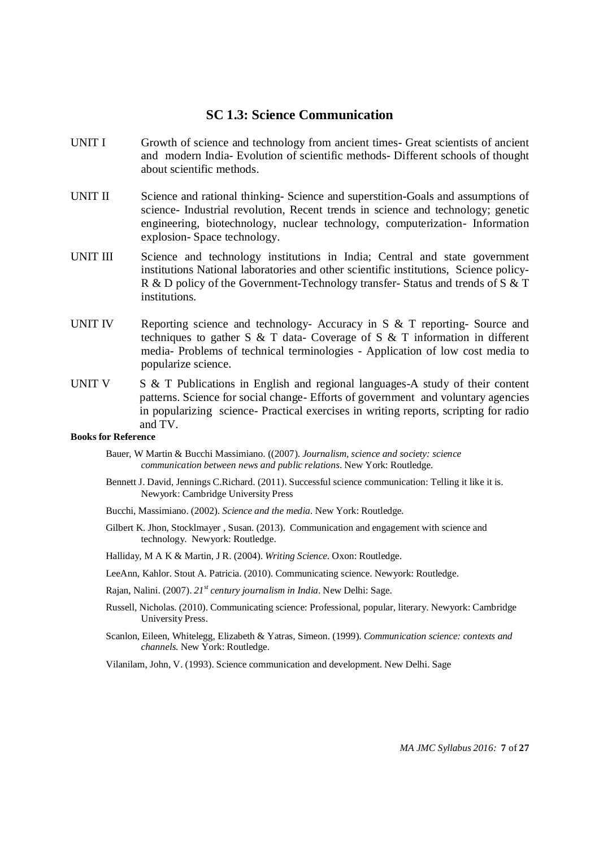#### **SC 1.3: Science Communication**

- UNIT I Growth of science and technology from ancient times- Great scientists of ancient and modern India- Evolution of scientific methods- Different schools of thought about scientific methods.
- UNIT II Science and rational thinking-Science and superstition-Goals and assumptions of science- Industrial revolution, Recent trends in science and technology; genetic engineering, biotechnology, nuclear technology, computerization- Information explosion- Space technology.
- UNIT III Science and technology institutions in India; Central and state government institutions National laboratories and other scientific institutions, Science policy-R & D policy of the Government-Technology transfer-Status and trends of S & T institutions.
- UNIT IV Reporting science and technology- Accuracy in S & T reporting- Source and techniques to gather S & T data- Coverage of S & T information in different media- Problems of technical terminologies - Application of low cost media to popularize science.
- UNIT V  $S \& T$  Publications in English and regional languages-A study of their content patterns. Science for social change- Efforts of government and voluntary agencies in popularizing science- Practical exercises in writing reports, scripting for radio and TV.

#### **Books for Reference**

- Bauer, W Martin & Bucchi Massimiano. ((2007). *Journalism, science and society: science communication between news and public relations*. New York: Routledge.
- Bennett J. David, Jennings C.Richard. (2011). Successful science communication: Telling it like it is. Newyork: Cambridge University Press
- Bucchi, Massimiano. (2002). *Science and the media.* New York: Routledge.
- Gilbert K. Jhon, Stocklmayer , Susan. (2013). Communication and engagement with science and technology. Newyork: Routledge.
- Halliday, M A K & Martin, J R. (2004). *Writing Science*. Oxon: Routledge.
- LeeAnn, Kahlor. Stout A. Patricia. (2010). Communicating science. Newyork: Routledge.
- Rajan, Nalini. (2007). *21st century journalism in India*. New Delhi: Sage.
- Russell, Nicholas. (2010). Communicating science: Professional, popular, literary. Newyork: Cambridge University Press.
- Scanlon, Eileen, Whitelegg, Elizabeth & Yatras, Simeon. (1999). *Communication science: contexts and channels.* New York: Routledge.

Vilanilam, John, V. (1993). Science communication and development. New Delhi. Sage

*MA JMC Syllabus 2016:* **7** of **27**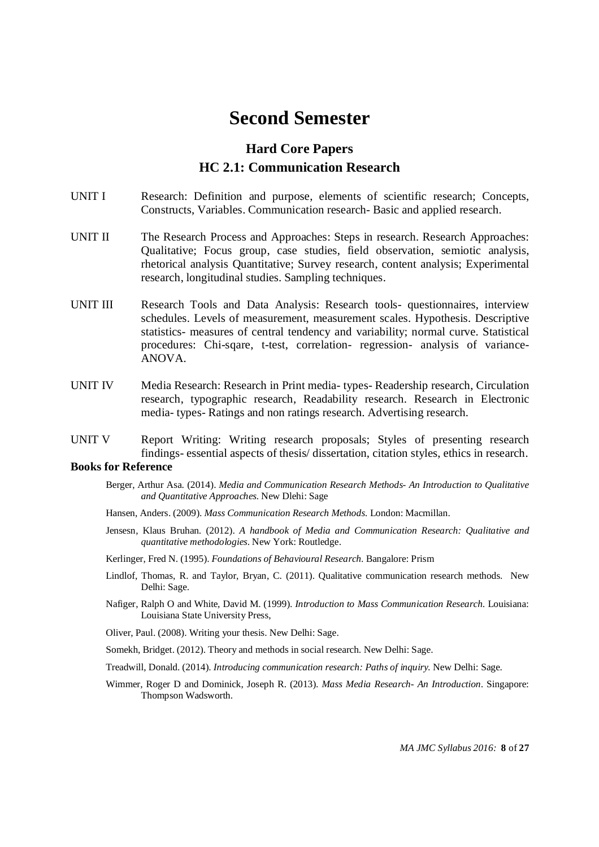# **Second Semester**

## **Hard Core Papers HC 2.1: Communication Research**

- UNIT I Research: Definition and purpose, elements of scientific research; Concepts, Constructs, Variables. Communication research- Basic and applied research.
- UNIT II The Research Process and Approaches: Steps in research. Research Approaches: Qualitative; Focus group, case studies, field observation, semiotic analysis, rhetorical analysis Quantitative; Survey research, content analysis; Experimental research, longitudinal studies. Sampling techniques.
- UNIT III Research Tools and Data Analysis: Research tools- questionnaires, interview schedules. Levels of measurement, measurement scales. Hypothesis. Descriptive statistics- measures of central tendency and variability; normal curve. Statistical procedures: Chi-sqare, t-test, correlation- regression- analysis of variance-ANOVA.
- UNIT IV Media Research: Research in Print media- types- Readership research, Circulation research, typographic research, Readability research. Research in Electronic media- types- Ratings and non ratings research. Advertising research.
- UNIT V Report Writing: Writing research proposals; Styles of presenting research findings- essential aspects of thesis/ dissertation, citation styles, ethics in research.

#### **Books for Reference**

- Berger, Arthur Asa. (2014). *Media and Communication Research Methods- An Introduction to Qualitative and Quantitative Approaches.* New Dlehi: Sage
- Hansen, Anders. (2009). *Mass Communication Research Methods.* London: Macmillan.
- Jensesn, Klaus Bruhan. (2012). *A handbook of Media and Communication Research: Qualitative and quantitative methodologies*. New York: Routledge.
- Kerlinger, Fred N. (1995). *Foundations of Behavioural Research*. Bangalore: Prism
- Lindlof, Thomas, R. and Taylor, Bryan, C. (2011). Qualitative communication research methods. New Delhi: Sage.
- Nafiger, Ralph O and White, David M. (1999). *Introduction to Mass Communication Research.* Louisiana: Louisiana State University Press,
- Oliver, Paul. (2008). Writing your thesis. New Delhi: Sage.
- Somekh, Bridget. (2012). Theory and methods in social research. New Delhi: Sage.
- Treadwill, Donald. (2014). *Introducing communication research: Paths of inquiry.* New Delhi: Sage.
- Wimmer, Roger D and Dominick, Joseph R. (2013). *Mass Media Research- An Introduction.* Singapore: Thompson Wadsworth.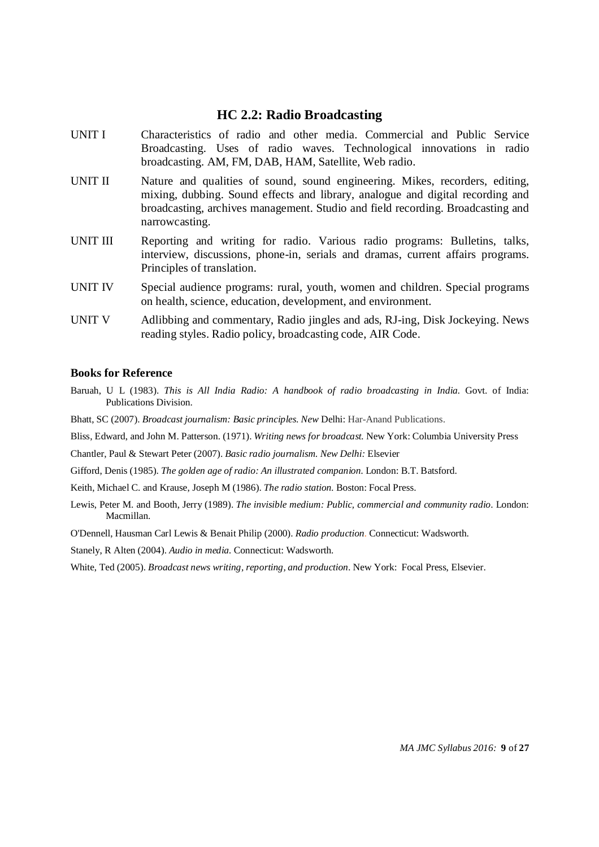#### **HC 2.2: Radio Broadcasting**

- UNIT I Characteristics of radio and other media. Commercial and Public Service Broadcasting. Uses of radio waves. Technological innovations in radio broadcasting. AM, FM, DAB, HAM, Satellite, Web radio.
- UNIT II Nature and qualities of sound, sound engineering. Mikes, recorders, editing, mixing, dubbing. Sound effects and library, analogue and digital recording and broadcasting, archives management. Studio and field recording. Broadcasting and narrowcasting.
- UNIT III Reporting and writing for radio. Various radio programs: Bulletins, talks, interview, discussions, phone-in, serials and dramas, current affairs programs. Principles of translation.
- UNIT IV Special audience programs: rural, youth, women and children. Special programs on health, science, education, development, and environment.
- UNIT V Adlibbing and commentary, Radio jingles and ads, RJ-ing, Disk Jockeying. News reading styles. Radio policy, broadcasting code, AIR Code.

#### **Books for Reference**

- Baruah, U L (1983). *This is All India Radio: A handbook of radio broadcasting in India*. Govt. of India: Publications Division.
- Bhatt, SC (2007). *Broadcast journalism: Basic principles*. *New* Delhi: Har-Anand Publications.
- Bliss, Edward, and John M. Patterson. (1971). *Writing news for broadcast.* New York: Columbia University Press
- Chantler, Paul & Stewart Peter (2007). *Basic radio journalism. New Delhi:* Elsevier
- Gifford, Denis (1985). *The golden age of radio: An illustrated companion.* London: B.T. Batsford.
- Keith, Michael C. and Krause, Joseph M (1986). *The radio station.* Boston: Focal Press.
- Lewis, Peter M. and Booth, Jerry (1989). *The invisible medium: Public, commercial and community radio*. London: Macmillan.
- O'Dennell, Hausman Carl Lewis & Benait Philip (2000). *Radio production.* Connecticut: Wadsworth.

Stanely, R Alten (2004). *Audio in media.* Connecticut: Wadsworth.

White, Ted (2005). *Broadcast news writing, reporting, and production.* New York: Focal Press, Elsevier.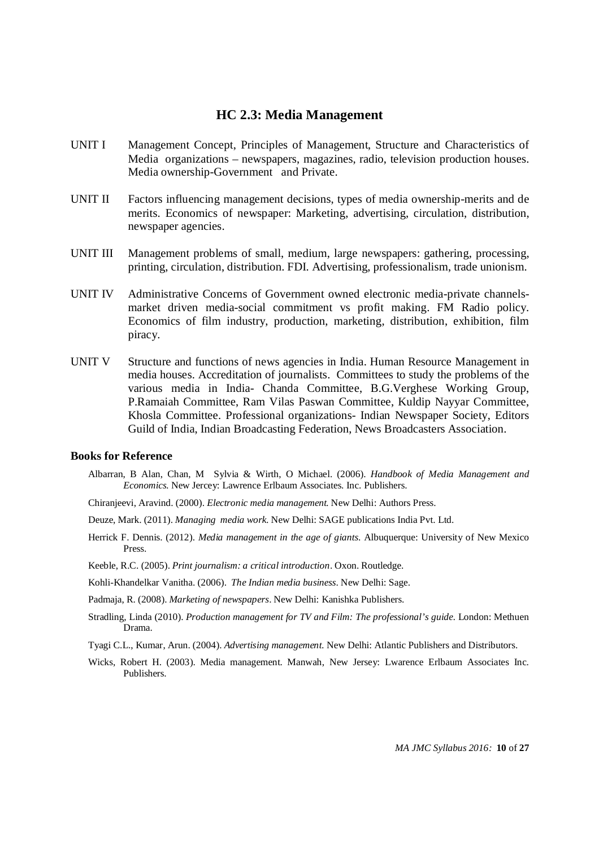#### **HC 2.3: Media Management**

- UNIT I Management Concept, Principles of Management, Structure and Characteristics of Media organizations – newspapers, magazines, radio, television production houses. Media ownership-Government and Private.
- UNIT II Factors influencing management decisions, types of media ownership-merits and de merits. Economics of newspaper: Marketing, advertising, circulation, distribution, newspaper agencies.
- UNIT III Management problems of small, medium, large newspapers: gathering, processing, printing, circulation, distribution. FDI. Advertising, professionalism, trade unionism.
- UNIT IV Administrative Concerns of Government owned electronic media-private channelsmarket driven media-social commitment vs profit making. FM Radio policy. Economics of film industry, production, marketing, distribution, exhibition, film piracy.
- UNIT V Structure and functions of news agencies in India. Human Resource Management in media houses. Accreditation of journalists. Committees to study the problems of the various media in India- Chanda Committee, B.G.Verghese Working Group, P.Ramaiah Committee, Ram Vilas Paswan Committee, Kuldip Nayyar Committee, Khosla Committee. Professional organizations- Indian Newspaper Society, Editors Guild of India, Indian Broadcasting Federation, News Broadcasters Association.

#### **Books for Reference**

- Albarran, B Alan, Chan, M Sylvia & Wirth, O Michael. (2006). *Handbook of Media Management and Economics.* New Jercey: Lawrence Erlbaum Associates. Inc. Publishers.
- Chiranjeevi, Aravind. (2000). *Electronic media management.* New Delhi: Authors Press.
- Deuze, Mark. (2011). *Managing media work.* New Delhi: SAGE publications India Pvt. Ltd.
- Herrick F. Dennis. (2012). *Media management in the age of giants*. Albuquerque: University of New Mexico Press.
- Keeble, R.C. (2005). *Print journalism: a critical introduction*. Oxon. Routledge.
- Kohli-Khandelkar Vanitha. (2006). *The Indian media business*. New Delhi: Sage.
- Padmaja, R. (2008). *Marketing of newspapers*. New Delhi: Kanishka Publishers.
- Stradling, Linda (2010). *Production management for TV and Film: The professional's guide.* London: Methuen Drama.
- Tyagi C.L., Kumar, Arun. (2004). *Advertising management.* New Delhi: Atlantic Publishers and Distributors.
- Wicks, Robert H. (2003). Media management. Manwah, New Jersey: Lwarence Erlbaum Associates Inc. Publishers.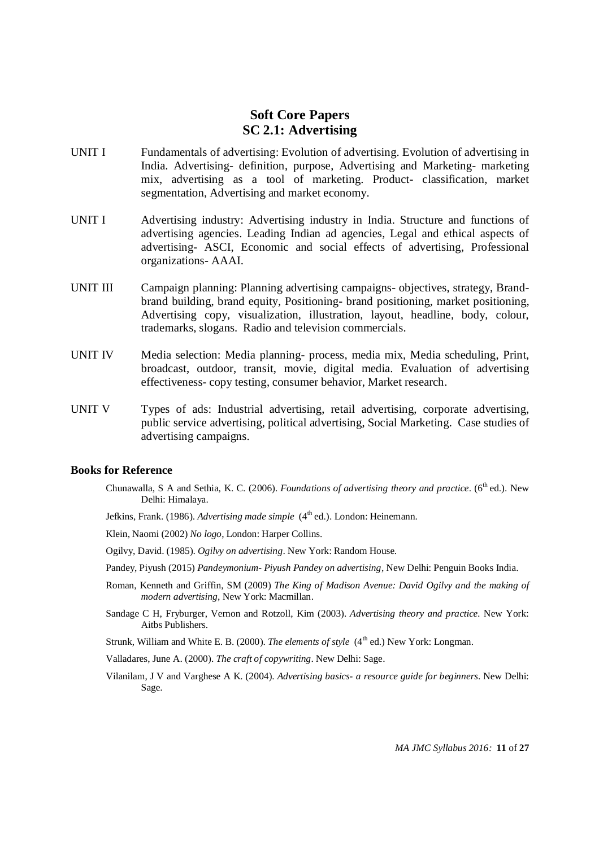## **Soft Core Papers SC 2.1: Advertising**

- UNIT I Fundamentals of advertising: Evolution of advertising. Evolution of advertising in India. Advertising- definition, purpose, Advertising and Marketing- marketing mix, advertising as a tool of marketing. Product- classification, market segmentation, Advertising and market economy.
- UNIT I Advertising industry: Advertising industry in India. Structure and functions of advertising agencies. Leading Indian ad agencies, Legal and ethical aspects of advertising- ASCI, Economic and social effects of advertising, Professional organizations- AAAI.
- UNIT III Campaign planning: Planning advertising campaigns- objectives, strategy, Brandbrand building, brand equity, Positioning- brand positioning, market positioning, Advertising copy, visualization, illustration, layout, headline, body, colour, trademarks, slogans. Radio and television commercials.
- UNIT IV Media selection: Media planning- process, media mix, Media scheduling, Print, broadcast, outdoor, transit, movie, digital media. Evaluation of advertising effectiveness- copy testing, consumer behavior, Market research.
- UNIT V Types of ads: Industrial advertising, retail advertising, corporate advertising, public service advertising, political advertising, Social Marketing. Case studies of advertising campaigns.

#### **Books for Reference**

- Chunawalla, S A and Sethia, K. C. (2006). *Foundations of advertising theory and practice*. (6<sup>th</sup> ed.). New Delhi: Himalaya.
- Jefkins, Frank. (1986). *Advertising made simple* (4<sup>th</sup> ed.). London: Heinemann.
- Klein, Naomi (2002) *No logo*, London: Harper Collins.
- Ogilvy, David. (1985). *Ogilvy on advertising*. New York: Random House.
- Pandey, Piyush (2015) *Pandeymonium- Piyush Pandey on advertising*, New Delhi: Penguin Books India.
- Roman, Kenneth and Griffin, SM (2009) *The King of Madison Avenue: David Ogilvy and the making of modern advertising*, New York: Macmillan.
- Sandage C H, Fryburger, Vernon and Rotzoll, Kim (2003). *Advertising theory and practice.* New York: Aitbs Publishers.
- Strunk, William and White E. B. (2000). *The elements of style* (4<sup>th</sup> ed.) New York: Longman.
- Valladares, June A. (2000). *The craft of copywriting*. New Delhi: Sage.
- Vilanilam, J V and Varghese A K. (2004). *Advertising basics- a resource guide for beginners*. New Delhi: Sage.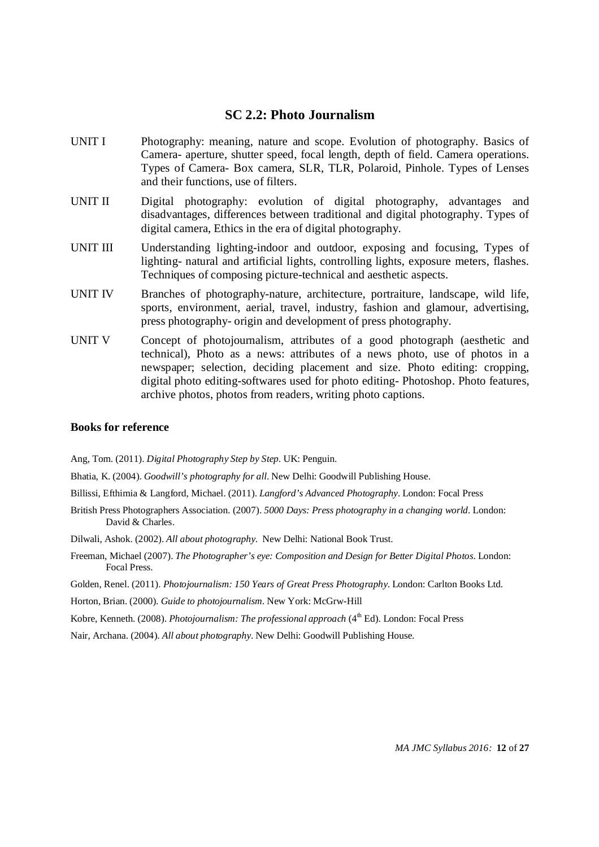#### **SC 2.2: Photo Journalism**

- UNIT I Photography: meaning, nature and scope. Evolution of photography. Basics of Camera- aperture, shutter speed, focal length, depth of field. Camera operations. Types of Camera- Box camera, SLR, TLR, Polaroid, Pinhole. Types of Lenses and their functions, use of filters.
- UNIT II Digital photography: evolution of digital photography, advantages and disadvantages, differences between traditional and digital photography. Types of digital camera, Ethics in the era of digital photography.
- UNIT III Understanding lighting-indoor and outdoor, exposing and focusing, Types of lighting- natural and artificial lights, controlling lights, exposure meters, flashes. Techniques of composing picture-technical and aesthetic aspects.
- UNIT IV Branches of photography-nature, architecture, portraiture, landscape, wild life, sports, environment, aerial, travel, industry, fashion and glamour, advertising, press photography- origin and development of press photography.
- UNIT V Concept of photojournalism, attributes of a good photograph (aesthetic and technical), Photo as a news: attributes of a news photo, use of photos in a newspaper; selection, deciding placement and size. Photo editing: cropping, digital photo editing-softwares used for photo editing- Photoshop. Photo features, archive photos, photos from readers, writing photo captions.

#### **Books for reference**

Ang, Tom. (2011). *Digital Photography Step by Step*. UK: Penguin.

Bhatia, K. (2004). *Goodwill's photography for all*. New Delhi: Goodwill Publishing House.

- Billissi, Efthimia & Langford, Michael. (2011). *Langford's Advanced Photography*. London: Focal Press
- British Press Photographers Association. (2007). *5000 Days: Press photography in a changing world*. London: David & Charles.
- Dilwali, Ashok. (2002). *All about photography*. New Delhi: National Book Trust.
- Freeman, Michael (2007). *The Photographer's eye: Composition and Design for Better Digital Photos*. London: Focal Press.
- Golden, Renel. (2011). *Photojournalism: 150 Years of Great Press Photography*. London: Carlton Books Ltd.
- Horton, Brian. (2000). *Guide to photojournalism*. New York: McGrw-Hill
- Kobre, Kenneth. (2008). *Photojournalism: The professional approach* (4<sup>th</sup> Ed). London: Focal Press
- Nair, Archana. (2004). *All about photography*. New Delhi: Goodwill Publishing House.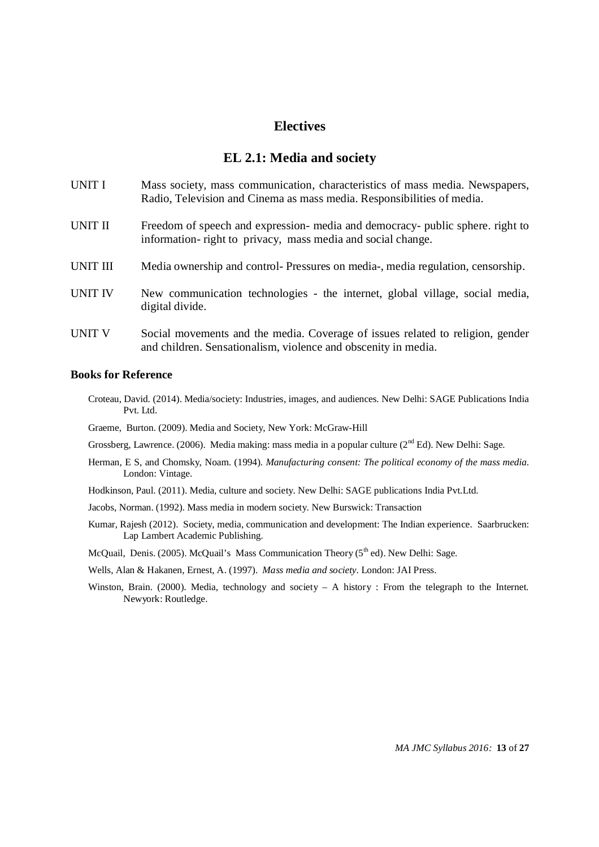#### **Electives**

#### **EL 2.1: Media and society**

| UNIT I | Mass society, mass communication, characteristics of mass media. Newspapers, |
|--------|------------------------------------------------------------------------------|
|        | Radio, Television and Cinema as mass media. Responsibilities of media.       |

- UNIT II Freedom of speech and expression- media and democracy- public sphere. right to information- right to privacy, mass media and social change.
- UNIT III Media ownership and control- Pressures on media-, media regulation, censorship.
- UNIT IV New communication technologies the internet, global village, social media, digital divide.
- UNIT V Social movements and the media. Coverage of issues related to religion, gender and children. Sensationalism, violence and obscenity in media.

#### **Books for Reference**

Croteau, David. (2014). Media/society: Industries, images, and audiences. New Delhi: SAGE Publications India Pvt. Ltd.

Graeme, Burton. (2009). Media and Society, New York: McGraw-Hill

- Grossberg, Lawrence. (2006). Media making: mass media in a popular culture (2<sup>nd</sup> Ed). New Delhi: Sage.
- Herman, E S, and Chomsky, Noam. (1994). *Manufacturing consent: The political economy of the mass media.* London: Vintage.
- Hodkinson, Paul. (2011). Media, culture and society. New Delhi: SAGE publications India Pvt.Ltd.
- Jacobs, Norman. (1992). Mass media in modern society. New Burswick: Transaction
- Kumar, Rajesh (2012). Society, media, communication and development: The Indian experience. Saarbrucken: Lap Lambert Academic Publishing.
- McQuail, Denis. (2005). McQuail's Mass Communication Theory ( $5<sup>th</sup>$  ed). New Delhi: Sage.
- Wells, Alan & Hakanen, Ernest, A. (1997). *Mass media and society*. London: JAI Press.
- Winston, Brain. (2000). Media, technology and society A history : From the telegraph to the Internet. Newyork: Routledge.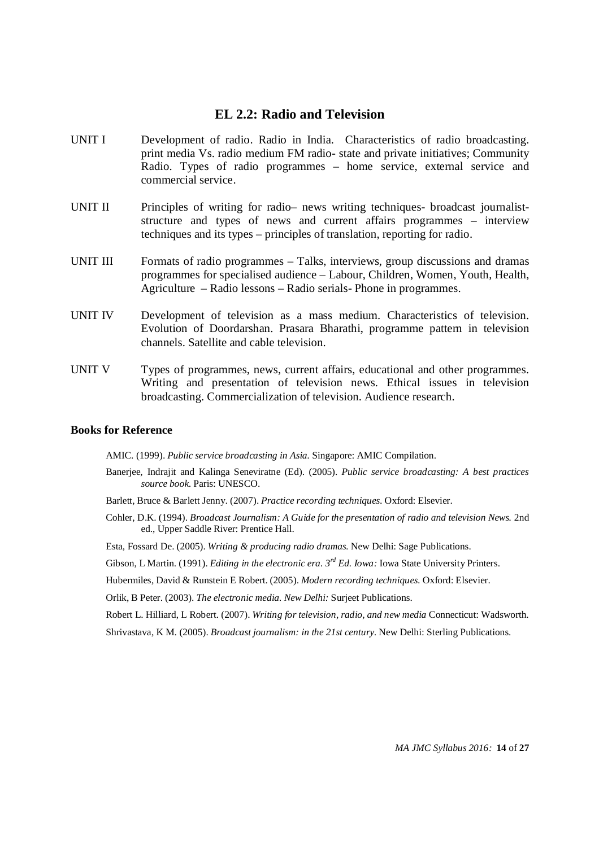#### **EL 2.2: Radio and Television**

- UNIT I Development of radio. Radio in India. Characteristics of radio broadcasting. print media Vs. radio medium FM radio- state and private initiatives; Community Radio. Types of radio programmes – home service, external service and commercial service.
- UNIT II Principles of writing for radio– news writing techniques- broadcast journaliststructure and types of news and current affairs programmes – interview techniques and its types – principles of translation, reporting for radio.
- UNIT III Formats of radio programmes Talks, interviews, group discussions and dramas programmes for specialised audience – Labour, Children, Women, Youth, Health, Agriculture – Radio lessons – Radio serials- Phone in programmes.
- UNIT IV Development of television as a mass medium. Characteristics of television. Evolution of Doordarshan. Prasara Bharathi, programme pattern in television channels. Satellite and cable television.
- UNIT V Types of programmes, news, current affairs, educational and other programmes. Writing and presentation of television news. Ethical issues in television broadcasting. Commercialization of television. Audience research.

#### **Books for Reference**

AMIC. (1999). *Public service broadcasting in Asia.* Singapore: AMIC Compilation.

- Banerjee, Indrajit and Kalinga Seneviratne (Ed). (2005). *Public service broadcasting: A best practices source book.* Paris: UNESCO.
- Barlett, Bruce & Barlett Jenny. (2007). *Practice recording techniques.* Oxford: Elsevier.
- Cohler, D.K. (1994). *Broadcast Journalism: A Guide for the presentation of radio and television News.* 2nd ed., Upper Saddle River: Prentice Hall.

Esta, Fossard De. (2005). *Writing & producing radio dramas.* New Delhi: Sage Publications.

Gibson, L Martin. (1991). *Editing in the electronic era. 3rd Ed. Iowa:* Iowa State University Printers.

Hubermiles, David & Runstein E Robert. (2005). *Modern recording techniques.* Oxford: Elsevier.

Orlik, B Peter. (2003). *The electronic media. New Delhi:* Surjeet Publications.

Robert L. Hilliard, L Robert. (2007). *Writing for television, radio, and new media* Connecticut: Wadsworth. Shrivastava, K M. (2005). *Broadcast journalism: in the 21st century.* New Delhi: Sterling Publications.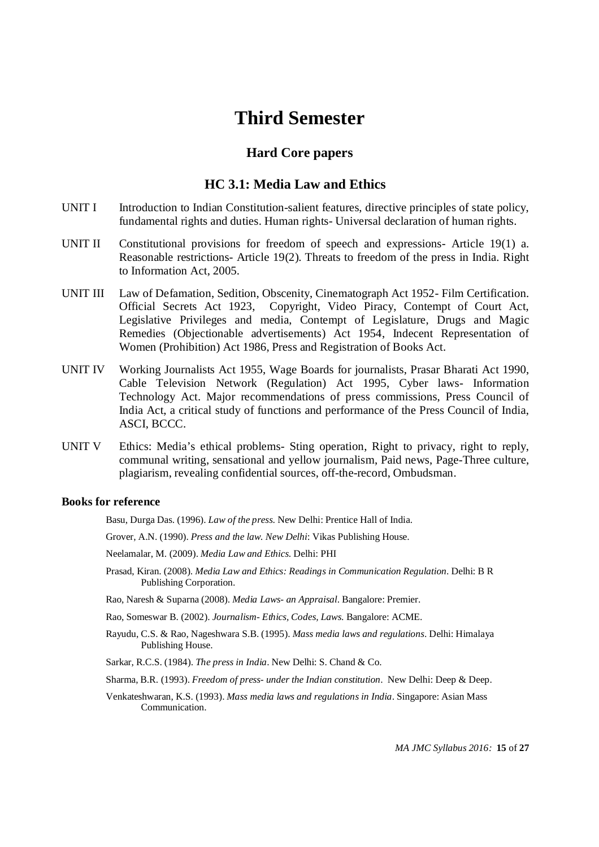# **Third Semester**

## **Hard Core papers**

## **HC 3.1: Media Law and Ethics**

- UNIT I Introduction to Indian Constitution-salient features, directive principles of state policy, fundamental rights and duties. Human rights- Universal declaration of human rights.
- UNIT II Constitutional provisions for freedom of speech and expressions- Article 19(1) a. Reasonable restrictions- Article 19(2). Threats to freedom of the press in India. Right to Information Act, 2005.
- UNIT III Law of Defamation, Sedition, Obscenity, Cinematograph Act 1952- Film Certification. Official Secrets Act 1923, Copyright, Video Piracy, Contempt of Court Act, Legislative Privileges and media, Contempt of Legislature, Drugs and Magic Remedies (Objectionable advertisements) Act 1954, Indecent Representation of Women (Prohibition) Act 1986, Press and Registration of Books Act.
- UNIT IV Working Journalists Act 1955, Wage Boards for journalists, Prasar Bharati Act 1990, Cable Television Network (Regulation) Act 1995, Cyber laws- Information Technology Act. Major recommendations of press commissions, Press Council of India Act, a critical study of functions and performance of the Press Council of India, ASCI, BCCC.
- UNIT V Ethics: Media's ethical problems- Sting operation, Right to privacy, right to reply, communal writing, sensational and yellow journalism, Paid news, Page-Three culture, plagiarism, revealing confidential sources, off-the-record, Ombudsman.

#### **Books for reference**

- Basu, Durga Das. (1996). *Law of the press*. New Delhi: Prentice Hall of India.
- Grover, A.N. (1990). *Press and the law. New Delhi*: Vikas Publishing House.
- Neelamalar, M. (2009). *Media Law and Ethics*. Delhi: PHI
- Prasad, Kiran. (2008). *Media Law and Ethics: Readings in Communication Regulation*. Delhi: B R Publishing Corporation.
- Rao, Naresh & Suparna (2008). *Media Laws- an Appraisal*. Bangalore: Premier.
- Rao, Someswar B. (2002). *Journalism- Ethics, Codes, Laws*. Bangalore: ACME.
- Rayudu, C.S. & Rao, Nageshwara S.B. (1995). *Mass media laws and regulations*. Delhi: Himalaya Publishing House.
- Sarkar, R.C.S. (1984). *The press in India*. New Delhi: S. Chand & Co.
- Sharma, B.R. (1993). *Freedom of press- under the Indian constitution*. New Delhi: Deep & Deep.
- Venkateshwaran, K.S. (1993). *Mass media laws and regulations in India*. Singapore: Asian Mass Communication.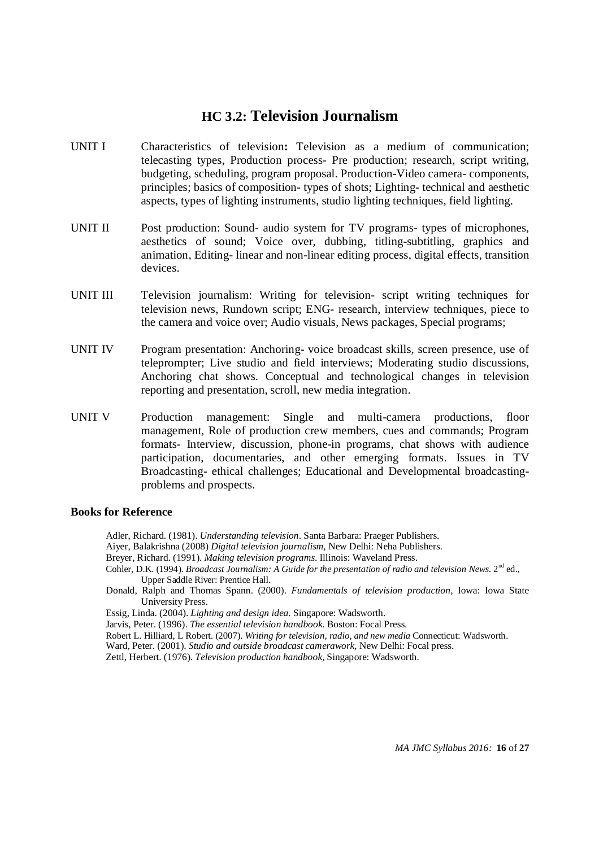## **HC 3.2: Television Journalism**

- UNIT I Characteristics of television**:** Television as a medium of communication; telecasting types, Production process- Pre production; research, script writing, budgeting, scheduling, program proposal. Production-Video camera- components, principles; basics of composition- types of shots; Lighting- technical and aesthetic aspects, types of lighting instruments, studio lighting techniques, field lighting.
- UNIT II Post production: Sound- audio system for TV programs- types of microphones, aesthetics of sound; Voice over, dubbing, titling-subtitling, graphics and animation, Editing- linear and non-linear editing process, digital effects, transition devices.
- UNIT III Television journalism: Writing for television- script writing techniques for television news, Rundown script; ENG- research, interview techniques, piece to the camera and voice over; Audio visuals, News packages, Special programs;
- UNIT IV Program presentation: Anchoring-voice broadcast skills, screen presence, use of teleprompter; Live studio and field interviews; Moderating studio discussions, Anchoring chat shows. Conceptual and technological changes in television reporting and presentation, scroll, new media integration.
- UNIT V Production management: Single and multi-camera productions, floor management, Role of production crew members, cues and commands; Program formats- Interview, discussion, phone-in programs, chat shows with audience participation, documentaries, and other emerging formats. Issues in TV Broadcasting- ethical challenges; Educational and Developmental broadcastingproblems and prospects.

#### **Books for Reference**

Adler, Richard. (1981). *Understanding television*. Santa Barbara: Praeger Publishers. Aiyer, Balakrishna (2008) *Digital television journalism*, New Delhi: Neha Publishers. Breyer, Richard. (1991). *Making television programs*. Illinois: Waveland Press. Cohler, D.K. (1994). *Broadcast Journalism: A Guide for the presentation of radio and television News.* 2<sup>nd</sup> ed.,

- Upper Saddle River: Prentice Hall. Donald, Ralph and Thomas Spann. (2000). *Fundamentals of television production,* Iowa: Iowa State University Press.
- Essig, Linda. (2004). *Lighting and design idea*. Singapore: Wadsworth.
- Jarvis, Peter. (1996). *The essential television handbook*. Boston: Focal Press.
- Robert L. Hilliard, L Robert. (2007). *Writing for television, radio, and new media* Connecticut: Wadsworth.
- Ward, Peter. (2001). *Studio and outside broadcast camerawork*, New Delhi: Focal press.
- Zettl, Herbert. (1976). *Television production handbook,* Singapore: Wadsworth.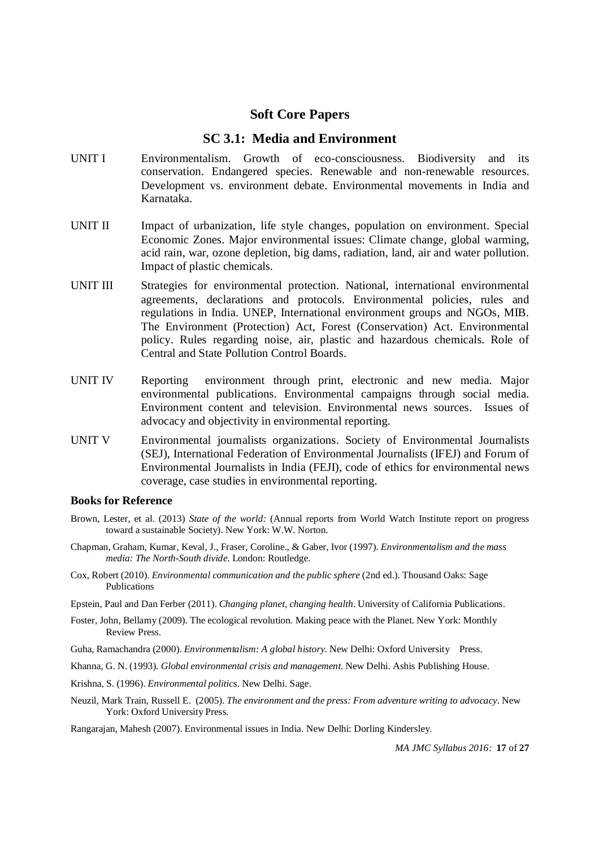#### **Soft Core Papers**

### **SC 3.1: Media and Environment**

- UNIT I Environmentalism. Growth of eco-consciousness. Biodiversity and its conservation. Endangered species. Renewable and non-renewable resources. Development vs. environment debate. Environmental movements in India and Karnataka.
- UNIT II Impact of urbanization, life style changes, population on environment. Special Economic Zones. Major environmental issues: Climate change, global warming, acid rain, war, ozone depletion, big dams, radiation, land, air and water pollution. Impact of plastic chemicals.
- UNIT III Strategies for environmental protection. National, international environmental agreements, declarations and protocols. Environmental policies, rules and regulations in India. UNEP, International environment groups and NGOs, MIB. The Environment (Protection) Act, Forest (Conservation) Act. Environmental policy. Rules regarding noise, air, plastic and hazardous chemicals. Role of Central and State Pollution Control Boards.
- UNIT IV Reporting environment through print, electronic and new media. Major environmental publications. Environmental campaigns through social media. Environment content and television. Environmental news sources. Issues of advocacy and objectivity in environmental reporting.
- UNIT V Environmental journalists organizations. Society of Environmental Journalists (SEJ), International Federation of Environmental Journalists (IFEJ) and Forum of Environmental Journalists in India (FEJI), code of ethics for environmental news coverage, case studies in environmental reporting.

#### **Books for Reference**

- Brown, Lester, et al. (2013) *State of the world:* (Annual reports from World Watch Institute report on progress toward a sustainable Society). New York: W.W. Norton.
- Chapman, Graham, Kumar, Keval, J., Fraser, Coroline., & Gaber, Ivor (1997). *Environmentalism and the mass media: The North-South divide*. London: Routledge.
- Cox, Robert (2010). *Environmental communication and the public sphere* (2nd ed.). Thousand Oaks: Sage Publications
- Epstein, Paul and Dan Ferber (2011). *Changing planet, changing health*. University of California Publications.
- Foster, John, Bellamy (2009). The ecological revolution. Making peace with the Planet. New York: Monthly Review Press.

Guha, Ramachandra (2000). *Environmentalism: A global history*. New Delhi: Oxford University Press.

- Khanna, G. N. (1993). *Global environmental crisis and management*. New Delhi. Ashis Publishing House.
- Krishna, S. (1996). *Environmental politics*. New Delhi. Sage.
- Neuzil, Mark Train, Russell E. (2005). *The environment and the press: From adventure writing to advocacy*. New York: Oxford University Press.

Rangarajan, Mahesh (2007). Environmental issues in India. New Delhi: Dorling Kindersley.

*MA JMC Syllabus 2016:* **17** of **27**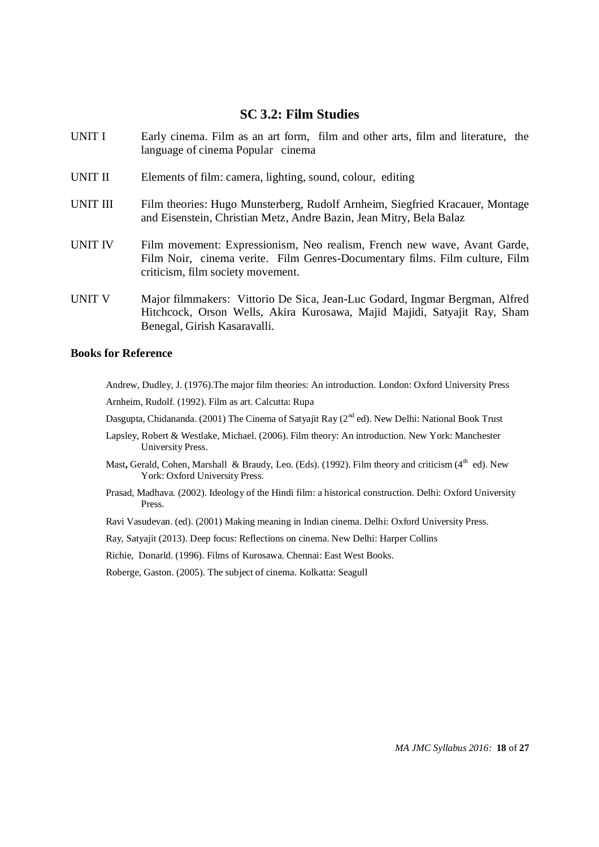#### **SC 3.2: Film Studies**

- UNIT I Early cinema. Film as an art form, film and other arts, film and literature, the language of cinema Popular cinema
- UNIT II Elements of film: camera, lighting, sound, colour, editing
- UNIT III Film theories: Hugo Munsterberg, Rudolf Arnheim, Siegfried Kracauer, Montage and Eisenstein, Christian Metz, Andre Bazin, Jean Mitry, Bela Balaz
- UNIT IV Film movement: Expressionism, Neo realism, French new wave, Avant Garde, Film Noir, cinema verite. Film Genres-Documentary films. Film culture, Film criticism, film society movement.
- UNIT V Major filmmakers: Vittorio De Sica, Jean-Luc Godard, Ingmar Bergman, Alfred Hitchcock, Orson Wells, Akira Kurosawa, Majid Majidi, Satyajit Ray, Sham Benegal, Girish Kasaravalli.

#### **Books for Reference**

Andrew, Dudley, J. (1976).The major film theories: An introduction. London: Oxford University Press Arnheim, Rudolf. (1992). Film as art. Calcutta: Rupa

Dasgupta, Chidananda. (2001) The Cinema of Satyajit Ray (2<sup>nd</sup> ed). New Delhi: National Book Trust

- Lapsley, Robert & Westlake, Michael. (2006). Film theory: An introduction. New York: Manchester University Press.
- Mast, Gerald, Cohen, Marshall & Braudy, Leo. (Eds). (1992). Film theory and criticism (4<sup>th</sup> ed). New York: Oxford University Press.
- Prasad, Madhava. (2002). Ideology of the Hindi film: a historical construction. Delhi: Oxford University Press.
- Ravi Vasudevan. (ed). (2001) Making meaning in Indian cinema. Delhi: Oxford University Press.

Ray, Satyajit (2013). Deep focus: Reflections on cinema. New Delhi: Harper Collins

Richie, Donarld. (1996). Films of Kurosawa. Chennai: East West Books.

Roberge, Gaston. (2005). The subject of cinema. Kolkatta: Seagull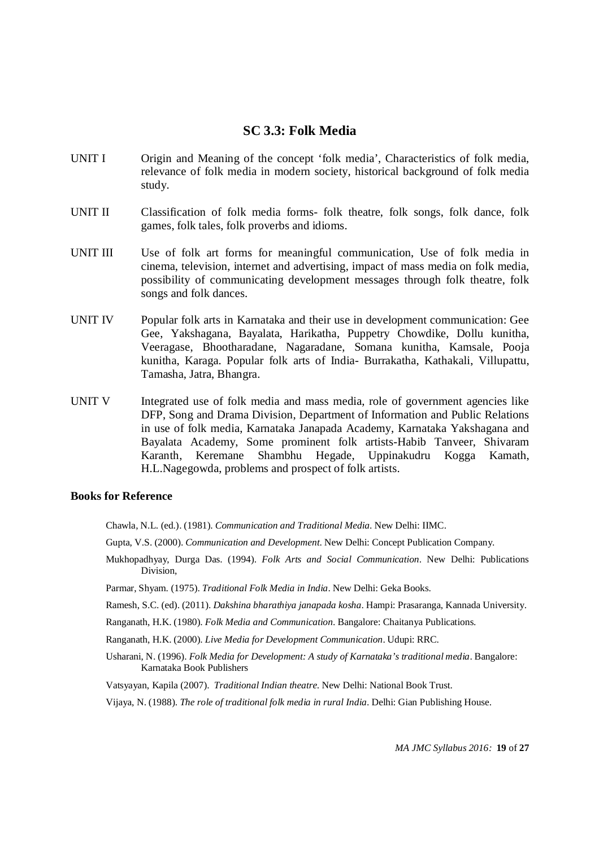#### **SC 3.3: Folk Media**

- UNIT I Origin and Meaning of the concept 'folk media', Characteristics of folk media, relevance of folk media in modern society, historical background of folk media study.
- UNIT II Classification of folk media forms- folk theatre, folk songs, folk dance, folk games, folk tales, folk proverbs and idioms.
- UNIT III Use of folk art forms for meaningful communication, Use of folk media in cinema, television, internet and advertising, impact of mass media on folk media, possibility of communicating development messages through folk theatre, folk songs and folk dances.
- UNIT IV Popular folk arts in Karnataka and their use in development communication: Gee Gee, Yakshagana, Bayalata, Harikatha, Puppetry Chowdike, Dollu kunitha, Veeragase, Bhootharadane, Nagaradane, Somana kunitha, Kamsale, Pooja kunitha, Karaga. Popular folk arts of India- Burrakatha, Kathakali, Villupattu, Tamasha, Jatra, Bhangra.
- UNIT V Integrated use of folk media and mass media, role of government agencies like DFP, Song and Drama Division, Department of Information and Public Relations in use of folk media, Karnataka Janapada Academy, Karnataka Yakshagana and Bayalata Academy, Some prominent folk artists-Habib Tanveer, Shivaram Karanth, Keremane Shambhu Hegade, Uppinakudru Kogga Kamath, H.L.Nagegowda, problems and prospect of folk artists.

#### **Books for Reference**

- Chawla, N.L. (ed.). (1981). *Communication and Traditional Media*. New Delhi: IIMC.
- Gupta, V.S. (2000). *Communication and Development*. New Delhi: Concept Publication Company.
- Mukhopadhyay, Durga Das. (1994). *Folk Arts and Social Communication*. New Delhi: Publications Division,
- Parmar, Shyam. (1975). *Traditional Folk Media in India*. New Delhi: Geka Books.
- Ramesh, S.C. (ed). (2011). *Dakshina bharathiya janapada kosha*. Hampi: Prasaranga, Kannada University.
- Ranganath, H.K. (1980). *Folk Media and Communication*. Bangalore: Chaitanya Publications.
- Ranganath, H.K. (2000). *Live Media for Development Communication*. Udupi: RRC.
- Usharani, N. (1996). *Folk Media for Development: A study of Karnataka's traditional media*. Bangalore: Karnataka Book Publishers
- Vatsyayan, Kapila (2007). *Traditional Indian theatre*. New Delhi: National Book Trust.

Vijaya, N. (1988). *The role of traditional folk media in rural India*. Delhi: Gian Publishing House.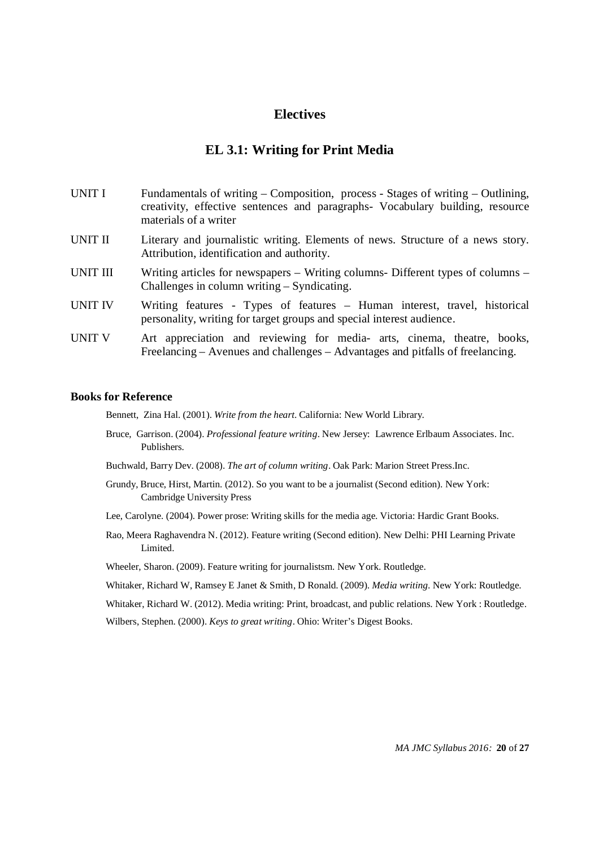## **Electives**

## **EL 3.1: Writing for Print Media**

| <b>UNIT I</b>  | Fundamentals of writing – Composition, process - Stages of writing – Outlining,<br>creativity, effective sentences and paragraphs- Vocabulary building, resource<br>materials of a writer |
|----------------|-------------------------------------------------------------------------------------------------------------------------------------------------------------------------------------------|
| <b>UNIT II</b> | Literary and journalistic writing. Elements of news. Structure of a news story.<br>Attribution, identification and authority.                                                             |
| UNIT III       | Writing articles for newspapers $-$ Writing columns- Different types of columns $-$<br>Challenges in column writing $-$ Syndicating.                                                      |
| <b>UNIT IV</b> | Writing features - Types of features - Human interest, travel, historical<br>personality, writing for target groups and special interest audience.                                        |

UNIT V Art appreciation and reviewing for media- arts, cinema, theatre, books, Freelancing – Avenues and challenges – Advantages and pitfalls of freelancing.

#### **Books for Reference**

Bennett, Zina Hal. (2001). *Write from the heart*. California: New World Library.

- Bruce, Garrison. (2004). *Professional feature writing*. New Jersey: Lawrence Erlbaum Associates. Inc. Publishers.
- Buchwald, Barry Dev. (2008). *The art of column writing*. Oak Park: Marion Street Press.Inc.
- Grundy, Bruce, Hirst, Martin. (2012). So you want to be a journalist (Second edition). New York: Cambridge University Press
- Lee, Carolyne. (2004). Power prose: Writing skills for the media age. Victoria: Hardic Grant Books.
- Rao, Meera Raghavendra N. (2012). Feature writing (Second edition). New Delhi: PHI Learning Private Limited.

Wheeler, Sharon. (2009). Feature writing for journalistsm. New York. Routledge.

Whitaker, Richard W, Ramsey E Janet & Smith, D Ronald. (2009). *Media writing*. New York: Routledge.

Whitaker, Richard W. (2012). Media writing: Print, broadcast, and public relations. New York : Routledge.

Wilbers, Stephen. (2000). *Keys to great writing*. Ohio: Writer's Digest Books.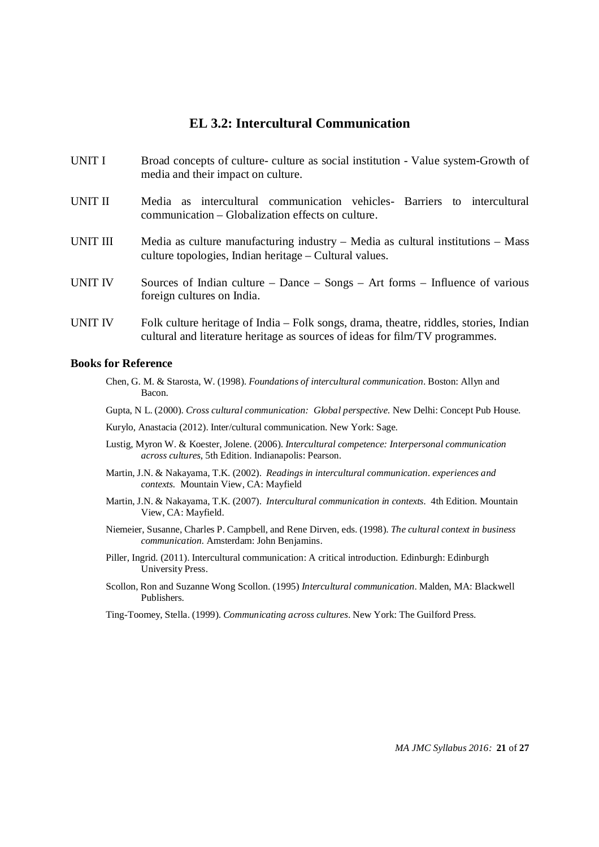## **EL 3.2: Intercultural Communication**

| UNIT I | Broad concepts of culture- culture as social institution - Value system-Growth of |
|--------|-----------------------------------------------------------------------------------|
|        | media and their impact on culture.                                                |

- UNIT II Media as intercultural communication vehicles- Barriers to intercultural communication – Globalization effects on culture.
- UNIT III Media as culture manufacturing industry Media as cultural institutions Mass culture topologies, Indian heritage – Cultural values.
- UNIT IV Sources of Indian culture Dance Songs Art forms Influence of various foreign cultures on India.
- UNIT IV Folk culture heritage of India Folk songs, drama, theatre, riddles, stories, Indian cultural and literature heritage as sources of ideas for film/TV programmes.

#### **Books for Reference**

- Chen, G. M. & Starosta, W. (1998). *Foundations of intercultural communication*. Boston: Allyn and Bacon.
- Gupta, N L. (2000). *Cross cultural communication: Global perspective*. New Delhi: Concept Pub House.

Kurylo, Anastacia (2012). Inter/cultural communication. New York: Sage.

- Lustig, Myron W. & Koester, Jolene. (2006). *Intercultural competence: Interpersonal communication across cultures*, 5th Edition. Indianapolis: Pearson.
- Martin, J.N. & Nakayama, T.K. (2002). *Readings in intercultural communication. experiences and contexts.* Mountain View, CA: Mayfield
- Martin, J.N. & Nakayama, T.K. (2007). *Intercultural communication in contexts.* 4th Edition. Mountain View, CA: Mayfield.
- Niemeier, Susanne, Charles P. Campbell, and Rene Dirven, eds. (1998). *The cultural context in business communication.* Amsterdam: John Benjamins.
- Piller, Ingrid. (2011). Intercultural communication: A critical introduction. Edinburgh: Edinburgh University Press.
- Scollon, Ron and Suzanne Wong Scollon. (1995) *Intercultural communication*. Malden, MA: Blackwell Publishers.
- Ting-Toomey, Stella. (1999). *Communicating across cultures*. New York: The Guilford Press.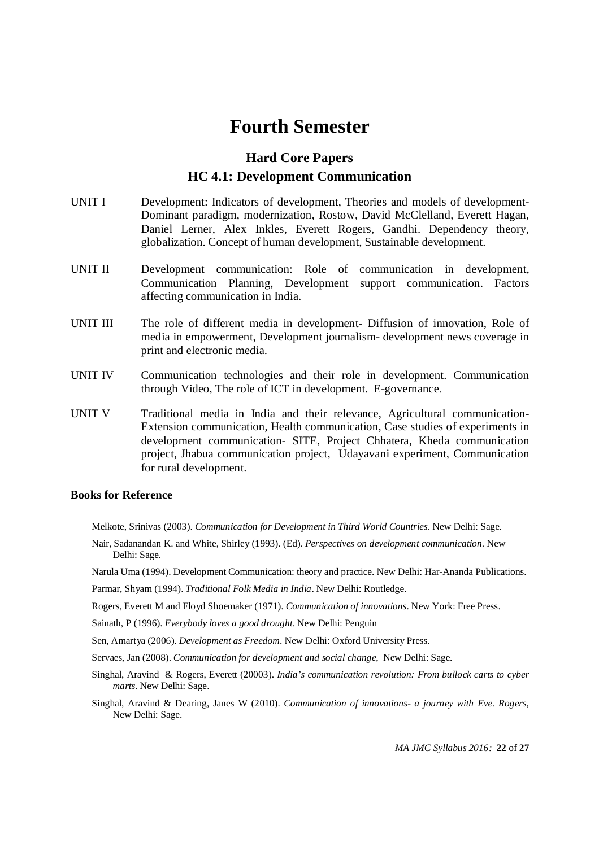# **Fourth Semester**

## **Hard Core Papers HC 4.1: Development Communication**

- UNIT I Development: Indicators of development, Theories and models of development-Dominant paradigm, modernization, Rostow, David McClelland, Everett Hagan, Daniel Lerner, Alex Inkles, Everett Rogers, Gandhi. Dependency theory, globalization. Concept of human development, Sustainable development.
- UNIT II Development communication: Role of communication in development, Communication Planning, Development support communication. Factors affecting communication in India.
- UNIT III The role of different media in development- Diffusion of innovation, Role of media in empowerment, Development journalism- development news coverage in print and electronic media.
- UNIT IV Communication technologies and their role in development. Communication through Video, The role of ICT in development. E-governance.
- UNIT V Traditional media in India and their relevance, Agricultural communication-Extension communication, Health communication, Case studies of experiments in development communication- SITE, Project Chhatera, Kheda communication project, Jhabua communication project, Udayavani experiment, Communication for rural development.

#### **Books for Reference**

- Melkote, Srinivas (2003). *Communication for Development in Third World Countries.* New Delhi: Sage.
- Nair, Sadanandan K. and White, Shirley (1993). (Ed). *Perspectives on development communication*. New Delhi: Sage.
- Narula Uma (1994). Development Communication: theory and practice. New Delhi: Har-Ananda Publications.
- Parmar, Shyam (1994). *Traditional Folk Media in India*. New Delhi: Routledge.
- Rogers, Everett M and Floyd Shoemaker (1971). *Communication of innovations*. New York: Free Press.
- Sainath, P (1996). *Everybody loves a good drought*. New Delhi: Penguin
- Sen, Amartya (2006). *Development as Freedom*. New Delhi: Oxford University Press.
- Servaes, Jan (2008). *Communication for development and social change*, New Delhi: Sage.
- Singhal, Aravind & Rogers, Everett (20003). *India's communication revolution: From bullock carts to cyber marts*. New Delhi: Sage.
- Singhal, Aravind & Dearing, Janes W (2010). *Communication of innovations- a journey with Eve. Rogers*, New Delhi: Sage.

*MA JMC Syllabus 2016:* **22** of **27**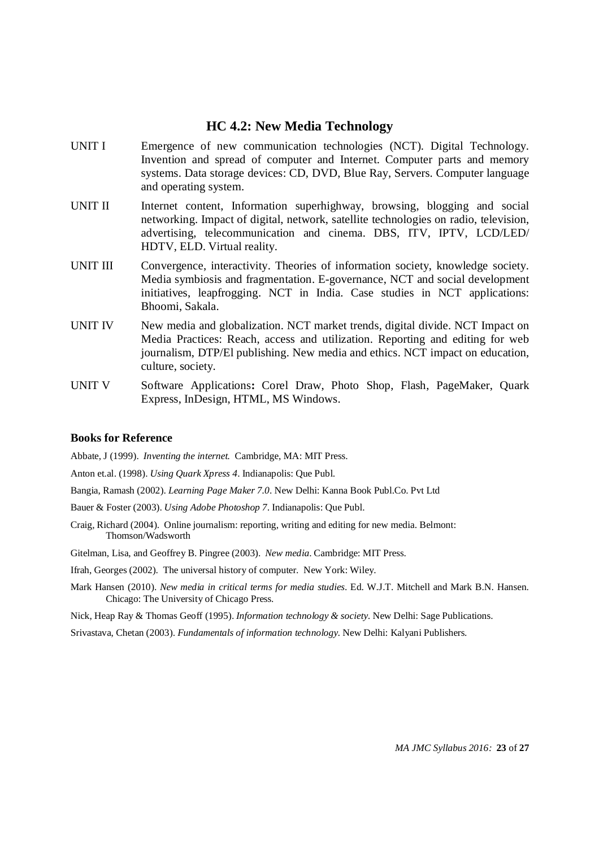#### **HC 4.2: New Media Technology**

- UNIT I Emergence of new communication technologies (NCT). Digital Technology. Invention and spread of computer and Internet. Computer parts and memory systems. Data storage devices: CD, DVD, Blue Ray, Servers. Computer language and operating system.
- UNIT II Internet content, Information superhighway, browsing, blogging and social networking. Impact of digital, network, satellite technologies on radio, television, advertising, telecommunication and cinema. DBS, ITV, IPTV, LCD/LED/ HDTV, ELD. Virtual reality.
- UNIT III Convergence, interactivity. Theories of information society, knowledge society. Media symbiosis and fragmentation. E-governance, NCT and social development initiatives, leapfrogging. NCT in India. Case studies in NCT applications: Bhoomi, Sakala.
- UNIT IV New media and globalization. NCT market trends, digital divide. NCT Impact on Media Practices: Reach, access and utilization. Reporting and editing for web journalism, DTP/El publishing. New media and ethics. NCT impact on education, culture, society.
- UNIT V Software Applications**:** Corel Draw, Photo Shop, Flash, PageMaker, Quark Express, InDesign, HTML, MS Windows.

#### **Books for Reference**

Abbate, J (1999). *Inventing the internet.* Cambridge, MA: MIT Press.

Anton et.al. (1998). *Using Quark Xpress 4*. Indianapolis: Que Publ.

Bangia, Ramash (2002). *Learning Page Maker 7.0*. New Delhi: Kanna Book Publ.Co. Pvt Ltd

Bauer & Foster (2003). *Using Adobe Photoshop 7.* Indianapolis: Que Publ.

Craig, Richard (2004). Online journalism: reporting, writing and editing for new media. Belmont: Thomson/Wadsworth

Gitelman, Lisa, and Geoffrey B. Pingree (2003). *New media*. Cambridge: MIT Press.

Ifrah, Georges (2002). The universal history of computer. New York: Wiley.

Mark Hansen (2010). *New media in critical terms for media studies*. Ed. W.J.T. Mitchell and Mark B.N. Hansen. Chicago: The University of Chicago Press.

Nick, Heap Ray & Thomas Geoff (1995). *Information technology & society.* New Delhi: Sage Publications.

Srivastava, Chetan (2003). *Fundamentals of information technology.* New Delhi: Kalyani Publishers.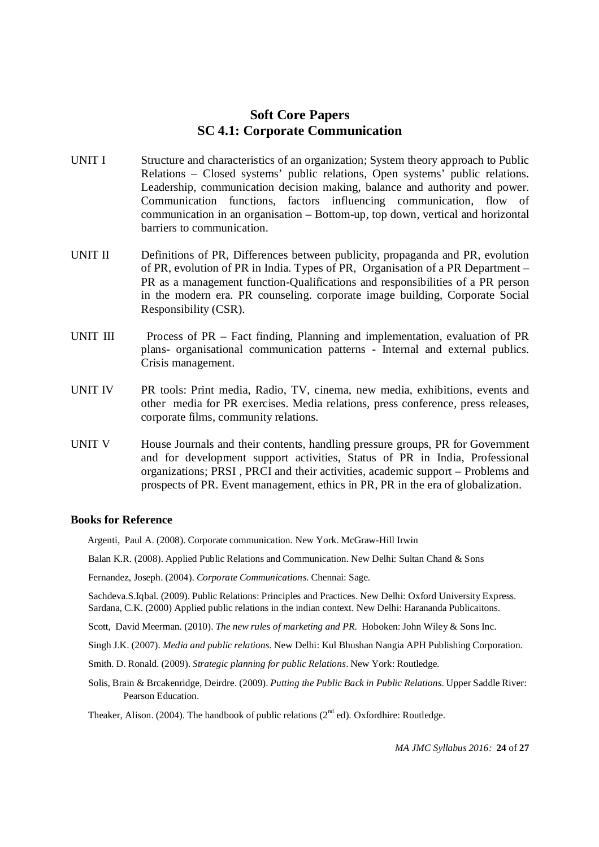## **Soft Core Papers SC 4.1: Corporate Communication**

- UNIT I Structure and characteristics of an organization; System theory approach to Public Relations – Closed systems' public relations, Open systems' public relations. Leadership, communication decision making, balance and authority and power. Communication functions, factors influencing communication, flow of communication in an organisation – Bottom-up, top down, vertical and horizontal barriers to communication.
- UNIT II Definitions of PR, Differences between publicity, propaganda and PR, evolution of PR, evolution of PR in India. Types of PR, Organisation of a PR Department – PR as a management function-Qualifications and responsibilities of a PR person in the modern era. PR counseling. corporate image building, Corporate Social Responsibility (CSR).
- UNIT III Process of PR Fact finding, Planning and implementation, evaluation of PR plans- organisational communication patterns - Internal and external publics. Crisis management.
- UNIT IV PR tools: Print media, Radio, TV, cinema, new media, exhibitions, events and other media for PR exercises. Media relations, press conference, press releases, corporate films, community relations.
- UNIT V House Journals and their contents, handling pressure groups, PR for Government and for development support activities, Status of PR in India, Professional organizations; PRSI , PRCI and their activities, academic support – Problems and prospects of PR. Event management, ethics in PR, PR in the era of globalization.

#### **Books for Reference**

Argenti, Paul A. (2008). Corporate communication. New York. McGraw-Hill Irwin

Balan K.R. (2008). Applied Public Relations and Communication. New Delhi: Sultan Chand & Sons

Fernandez, Joseph. (2004). *Corporate Communications*. Chennai: Sage.

Sachdeva.S.Iqbal. (2009). Public Relations: Principles and Practices. New Delhi: Oxford University Express. Sardana, C.K. (2000) Applied public relations in the indian context. New Delhi: Harananda Publicaitons.

Scott, David Meerman. (2010). *The new rules of marketing and PR*. Hoboken: John Wiley & Sons Inc.

Singh J.K. (2007). *Media and public relations*. New Delhi: Kul Bhushan Nangia APH Publishing Corporation.

- Smith. D. Ronald. (2009). *Strategic planning for public Relations*. New York: Routledge.
- Solis, Brain & Brcakenridge, Deirdre. (2009). *Putting the Public Back in Public Relations*. Upper Saddle River: Pearson Education.

Theaker, Alison. (2004). The handbook of public relations ( $2<sup>nd</sup>$  ed). Oxfordhire: Routledge.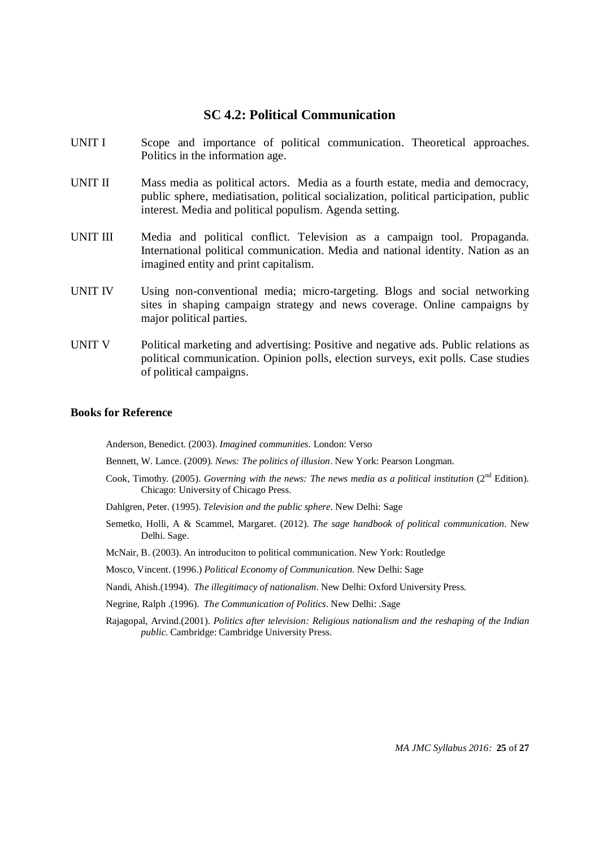## **SC 4.2: Political Communication**

- UNIT I Scope and importance of political communication. Theoretical approaches. Politics in the information age.
- UNIT II Mass media as political actors. Media as a fourth estate, media and democracy, public sphere, mediatisation, political socialization, political participation, public interest. Media and political populism. Agenda setting.
- UNIT III Media and political conflict. Television as a campaign tool. Propaganda. International political communication. Media and national identity. Nation as an imagined entity and print capitalism.
- UNIT IV Using non-conventional media; micro-targeting. Blogs and social networking sites in shaping campaign strategy and news coverage. Online campaigns by major political parties.
- UNIT V Political marketing and advertising: Positive and negative ads. Public relations as political communication. Opinion polls, election surveys, exit polls. Case studies of political campaigns.

#### **Books for Reference**

Anderson, Benedict. (2003). *Imagined communities*. London: Verso

- Bennett, W. Lance. (2009). *News: The politics of illusion*. New York: Pearson Longman.
- Cook, Timothy. (2005). *Governing with the news: The news media as a political institution* (2<sup>nd</sup> Edition). Chicago: University of Chicago Press.
- Dahlgren, Peter. (1995). *Television and the public sphere*. New Delhi: Sage
- Semetko, Holli, A & Scammel, Margaret. (2012). *The sage handbook of political communication.* New Delhi. Sage.
- McNair, B. (2003). An introduciton to political communication. New York: Routledge
- Mosco, Vincent. (1996.) *Political Economy of Communication*. New Delhi: Sage
- Nandi, Ahish.(1994). *The illegitimacy of nationalism*. New Delhi: Oxford University Press.
- Negrine, Ralph .(1996). *The Communication of Politics*. New Delhi: .Sage
- Rajagopal, Arvind.(2001). *Politics after television: Religious nationalism and the reshaping of the Indian public*. Cambridge: Cambridge University Press.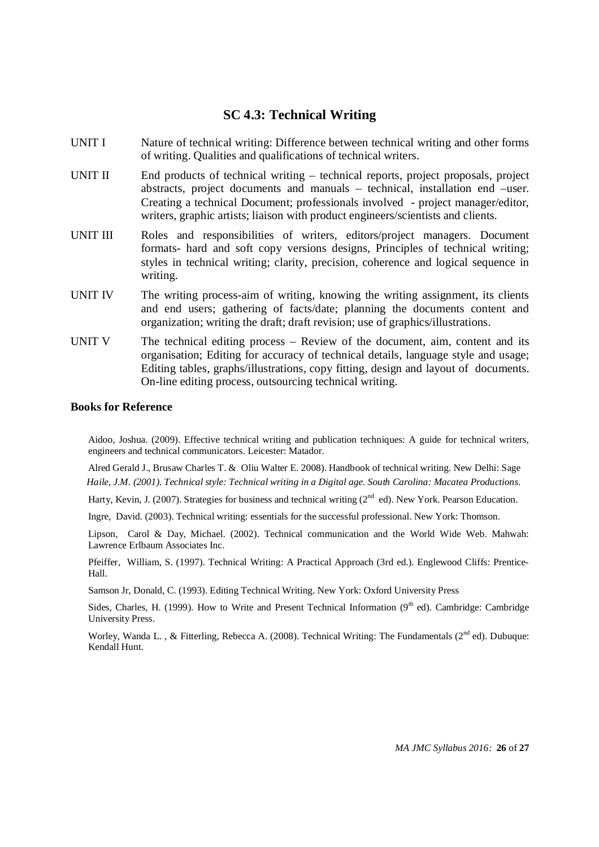### **SC 4.3: Technical Writing**

- UNIT I Nature of technical writing: Difference between technical writing and other forms of writing. Qualities and qualifications of technical writers.
- UNIT II End products of technical writing technical reports, project proposals, project abstracts, project documents and manuals – technical, installation end –user. Creating a technical Document; professionals involved - project manager/editor, writers, graphic artists; liaison with product engineers/scientists and clients.
- UNIT III Roles and responsibilities of writers, editors/project managers. Document formats- hard and soft copy versions designs, Principles of technical writing; styles in technical writing; clarity, precision, coherence and logical sequence in writing.
- UNIT IV The writing process-aim of writing, knowing the writing assignment, its clients and end users; gathering of facts/date; planning the documents content and organization; writing the draft; draft revision; use of graphics/illustrations.
- UNIT V The technical editing process  $-$  Review of the document, aim, content and its organisation; Editing for accuracy of technical details, language style and usage; Editing tables, graphs/illustrations, copy fitting, design and layout of documents. On-line editing process, outsourcing technical writing.

#### **Books for Reference**

Aidoo, Joshua. (2009). Effective technical writing and publication techniques: A guide for technical writers, engineers and technical communicators. Leicester: Matador.

Alred Gerald J., Brusaw Charles T. & Oliu Walter E. 2008). Handbook of technical writing. New Delhi: Sage *Haile, J.M. (2001). Technical style: Technical writing in a Digital age. South Carolina: Macatea Productions*.

Harty, Kevin, J. (2007). Strategies for business and technical writing (2<sup>nd</sup> ed). New York. Pearson Education.

Ingre, David. (2003). Technical writing: essentials for the successful professional. New York: Thomson.

Lipson, Carol & Day, Michael. (2002). Technical communication and the World Wide Web. Mahwah: Lawrence Erlbaum Associates Inc.

Pfeiffer, William, S. (1997). Technical Writing: A Practical Approach (3rd ed.). Englewood Cliffs: Prentice-Hall.

Samson Jr, Donald, C. (1993). Editing Technical Writing. New York: Oxford University Press

Sides, Charles, H. (1999). How to Write and Present Technical Information  $(9<sup>th</sup>$  ed). Cambridge: Cambridge University Press.

Worley, Wanda L., & Fitterling, Rebecca A. (2008). Technical Writing: The Fundamentals ( $2^{nd}$  ed). Dubuque: Kendall Hunt.